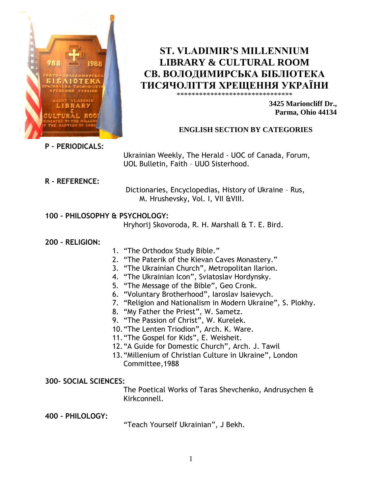

**ST. VLADIMIR'S MILLENNIUM LIBRARY & CULTURAL ROOM СВ. ВОЛОДИМИРСЬКА БІБЛІОТЕКА ТИСЯЧОЛІТТЯ ХРЕЩЕННЯ УКРАЇНИ**

\*\*\*\*\*\*\*\*\*\*\*\*\*\*\*\*\*\*\*\*\*\*\*\*\*\*\*\*\*\*\*

**3425 Marioncliff Dr., Parma, Ohio 44134**

# **ENGLISH SECTION BY CATEGORIES**

**P – PERIODICALS:**

Ukrainian Weekly, The Herald - UOC of Canada, Forum, UOL Bulletin, Faith – UUO Sisterhood.

**R – REFERENCE:**

 Dictionaries, Encyclopedias, History of Ukraine – Rus, M. Hrushevsky, Vol. I, VII &VIII.

# **100 – PHILOSOPHY & PSYCHOLOGY:**

Hryhorij Skovoroda, R. H. Marshall & T. E. Bird.

**200 – RELIGION:**

- 1. "The Orthodox Study Bible."
- 2. "The Paterik of the Kievan Caves Monastery."
- 3. "The Ukrainian Church", Metropolitan Ilarion.
- 4. "The Ukrainian Icon", Sviatoslav Hordynsky.
- 5. "The Message of the Bible", Geo Cronk.
- 6. "Voluntary Brotherhood", Iaroslav Isaievych.
- 7. "Religion and Nationalism in Modern Ukraine", S. Plokhy.
- 8. "My Father the Priest", W. Sametz.
- 9. "The Passion of Christ", W. Kurelek.
- 10."The Lenten Triodion", Arch. K. Ware.
- 11."The Gospel for Kids", E. Weisheit.
- 12."A Guide for Domestic Church", Arch. J. Tawil
- 13."Millenium of Christian Culture in Ukraine", London Committee,1988

**300– SOCIAL SCIENCES:**

The Poetical Works of Taras Shevchenko, Andrusychen & Kirkconnell.

**400 – PHILOLOGY:**

"Teach Yourself Ukrainian", J Bekh.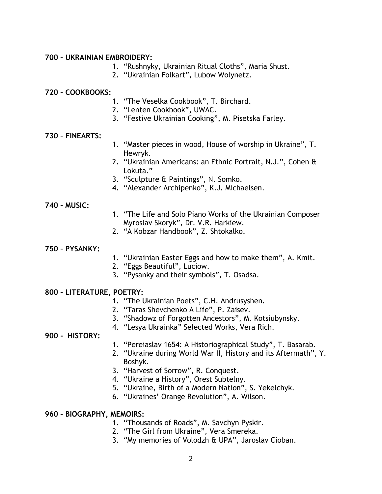### **700 – UKRAINIAN EMBROIDERY:**

- 1. "Rushnyky, Ukrainian Ritual Cloths", Maria Shust.
- 2. "Ukrainian Folkart", Lubow Wolynetz.

## **720 – COOKBOOKS:**

- 1. "The Veselka Cookbook", T. Birchard.
- 2. "Lenten Cookbook", UWAC.
- 3. "Festive Ukrainian Cooking", M. Pisetska Farley.

## **730 – FINEARTS:**

- 1. "Master pieces in wood, House of worship in Ukraine", T. Hewryk.
- 2. "Ukrainian Americans: an Ethnic Portrait, N.J.", Cohen & Lokuta."
- 3. "Sculpture & Paintings", N. Somko.
- 4. "Alexander Archipenko", K.J. Michaelsen.

#### **740 – MUSIC:**

- 1. "The Life and Solo Piano Works of the Ukrainian Composer Myroslav Skoryk", Dr. V.R. Harkiew.
- 2. "A Kobzar Handbook", Z. Shtokalko.

### **750 – PYSANKY:**

- 1. "Ukrainian Easter Eggs and how to make them", A. Kmit.
- 2. "Eggs Beautiful", Luciow.
- 3. "Pysanky and their symbols", T. Osadsa.

#### **800 – LITERATURE, POETRY:**

- 1. "The Ukrainian Poets", C.H. Andrusyshen.
- 2. "Taras Shevchenko A Life", P. Zaisev.
- 3. "Shadowz of Forgotten Ancestors", M. Kotsiubynsky.
- 4. "Lesya Ukrainka" Selected Works, Vera Rich.

#### **900 - HISTORY:**

- 1. "Pereiaslav 1654: A Historiographical Study", T. Basarab.
- 2. "Ukraine during World War II, History and its Aftermath", Y. Boshyk.
- 3. "Harvest of Sorrow", R. Conquest.
- 4. "Ukraine a History", Orest Subtelny.
- 5. "Ukraine, Birth of a Modern Nation", S. Yekelchyk.
- 6. "Ukraines' Orange Revolution", A. Wilson.

# **960 – BIOGRAPHY, MEMOIRS:**

- 1. "Thousands of Roads", M. Savchyn Pyskir.
- 2. "The Girl from Ukraine", Vera Smereka.
- 3. "My memories of Volodzh & UPA", Jaroslav Cioban.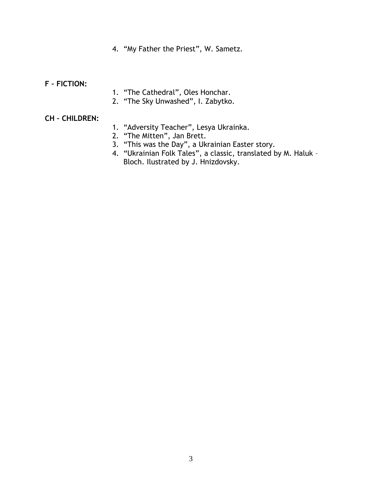4. "My Father the Priest", W. Sametz.

## **F – FICTION:**

- 1. "The Cathedral", Oles Honchar.
- 2. "The Sky Unwashed", I. Zabytko.

### **CH – CHILDREN:**

- 1. "Adversity Teacher", Lesya Ukrainka.
- 2. "The Mitten", Jan Brett.
- 3. "This was the Day", a Ukrainian Easter story.
- 4. "Ukrainian Folk Tales", a classic, translated by M. Haluk Bloch. Ilustrated by J. Hnizdovsky.